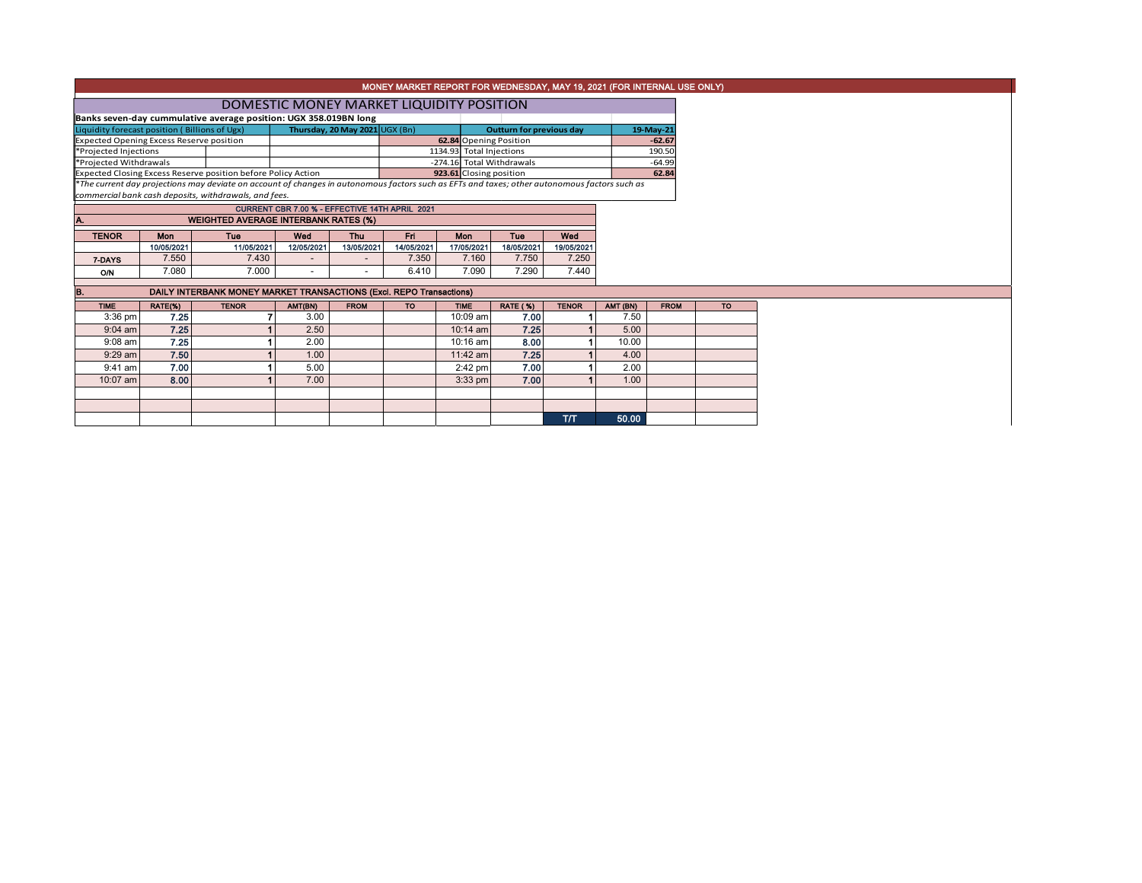|                                                                                                                                                     | MONEY MARKET REPORT FOR WEDNESDAY, MAY 19, 2021 (FOR INTERNAL USE ONLY) |                                                                                                                                                                                                        |                          |             |            |                           |                        |              |          |             |  |           |  |  |
|-----------------------------------------------------------------------------------------------------------------------------------------------------|-------------------------------------------------------------------------|--------------------------------------------------------------------------------------------------------------------------------------------------------------------------------------------------------|--------------------------|-------------|------------|---------------------------|------------------------|--------------|----------|-------------|--|-----------|--|--|
|                                                                                                                                                     | DOMESTIC MONEY MARKET LIQUIDITY POSITION                                |                                                                                                                                                                                                        |                          |             |            |                           |                        |              |          |             |  |           |  |  |
|                                                                                                                                                     |                                                                         |                                                                                                                                                                                                        |                          |             |            |                           |                        |              |          |             |  |           |  |  |
| Banks seven-day cummulative average position: UGX 358.019BN long<br>Thursday, 20 May 2021 UGX (Bn)<br>Liquidity forecast position (Billions of Ugx) |                                                                         |                                                                                                                                                                                                        |                          |             |            |                           | 19-May-21              |              |          |             |  |           |  |  |
| <b>Expected Opening Excess Reserve position</b>                                                                                                     |                                                                         |                                                                                                                                                                                                        |                          |             |            |                           | 62.84 Opening Position |              |          | $-62.67$    |  |           |  |  |
| *Projected Injections                                                                                                                               |                                                                         |                                                                                                                                                                                                        |                          |             |            | 1134.93 Total Injections  |                        |              |          | 190.50      |  |           |  |  |
| *Projected Withdrawals                                                                                                                              |                                                                         |                                                                                                                                                                                                        |                          |             |            | -274.16 Total Withdrawals |                        |              |          | $-64.99$    |  |           |  |  |
|                                                                                                                                                     |                                                                         | Expected Closing Excess Reserve position before Policy Action                                                                                                                                          |                          |             |            | 923.61 Closing position   |                        |              |          | 62.84       |  |           |  |  |
|                                                                                                                                                     |                                                                         | *The current day projections may deviate on account of changes in autonomous factors such as EFTs and taxes; other autonomous factors such as<br>commercial bank cash deposits, withdrawals, and fees. |                          |             |            |                           |                        |              |          |             |  |           |  |  |
|                                                                                                                                                     |                                                                         |                                                                                                                                                                                                        |                          |             |            |                           |                        |              |          |             |  |           |  |  |
| A.                                                                                                                                                  | CURRENT CBR 7.00 % - EFFECTIVE 14TH APRIL 2021                          |                                                                                                                                                                                                        |                          |             |            |                           |                        |              |          |             |  |           |  |  |
|                                                                                                                                                     | <b>WEIGHTED AVERAGE INTERBANK RATES (%)</b>                             |                                                                                                                                                                                                        |                          |             |            |                           |                        |              |          |             |  |           |  |  |
| <b>TENOR</b>                                                                                                                                        | Mon                                                                     | <b>Tue</b>                                                                                                                                                                                             | Wed                      | <b>Thu</b>  | <b>Fri</b> | Mon                       | Tue                    | Wed          |          |             |  |           |  |  |
|                                                                                                                                                     | 10/05/2021                                                              | 11/05/2021                                                                                                                                                                                             | 12/05/2021               | 13/05/2021  | 14/05/2021 | 17/05/2021                | 18/05/2021             | 19/05/2021   |          |             |  |           |  |  |
| 7-DAYS                                                                                                                                              | 7.550                                                                   | 7.430                                                                                                                                                                                                  |                          |             | 7.350      | 7.160                     | 7.750                  | 7.250        |          |             |  |           |  |  |
| <b>O/N</b>                                                                                                                                          | 7.080                                                                   | 7.000                                                                                                                                                                                                  | $\overline{\phantom{a}}$ |             | 6.410      | 7.090                     | 7.290                  | 7.440        |          |             |  |           |  |  |
| IB.                                                                                                                                                 |                                                                         | DAILY INTERBANK MONEY MARKET TRANSACTIONS (Excl. REPO Transactions)                                                                                                                                    |                          |             |            |                           |                        |              |          |             |  |           |  |  |
| <b>TIME</b>                                                                                                                                         | RATE(%)                                                                 | <b>TENOR</b>                                                                                                                                                                                           | AMT(BN)                  | <b>FROM</b> | <b>TO</b>  | <b>TIME</b>               | <b>RATE (%)</b>        | <b>TENOR</b> | AMT (BN) | <b>FROM</b> |  | <b>TO</b> |  |  |
| $3:36$ pm                                                                                                                                           | 7.25                                                                    |                                                                                                                                                                                                        | 3.00                     |             |            | 10:09 am                  | 7.00                   |              | 7.50     |             |  |           |  |  |
| $9:04$ am                                                                                                                                           | 7.25                                                                    |                                                                                                                                                                                                        | 2.50                     |             |            | $10:14$ am                | 7.25                   |              | 5.00     |             |  |           |  |  |
| $9:08$ am                                                                                                                                           | 7.25                                                                    |                                                                                                                                                                                                        | 2.00                     |             |            | 10:16 am                  | 8.00                   |              | 10.00    |             |  |           |  |  |
| 9:29 am                                                                                                                                             | 7.50                                                                    |                                                                                                                                                                                                        | 1.00                     |             |            | 11:42 am                  | 7.25                   |              | 4.00     |             |  |           |  |  |
| $9:41$ am                                                                                                                                           | 7.00                                                                    |                                                                                                                                                                                                        | 5.00                     |             |            | $2:42$ pm                 | 7.00                   |              | 2.00     |             |  |           |  |  |
| 10:07 am                                                                                                                                            | 8.00                                                                    |                                                                                                                                                                                                        | 7.00                     |             |            | $3:33$ pm                 | 7.00                   |              | 1.00     |             |  |           |  |  |
|                                                                                                                                                     |                                                                         |                                                                                                                                                                                                        |                          |             |            |                           |                        |              |          |             |  |           |  |  |
|                                                                                                                                                     |                                                                         |                                                                                                                                                                                                        |                          |             |            |                           |                        |              |          |             |  |           |  |  |
|                                                                                                                                                     |                                                                         |                                                                                                                                                                                                        |                          |             |            |                           |                        | T/T          | 50.00    |             |  |           |  |  |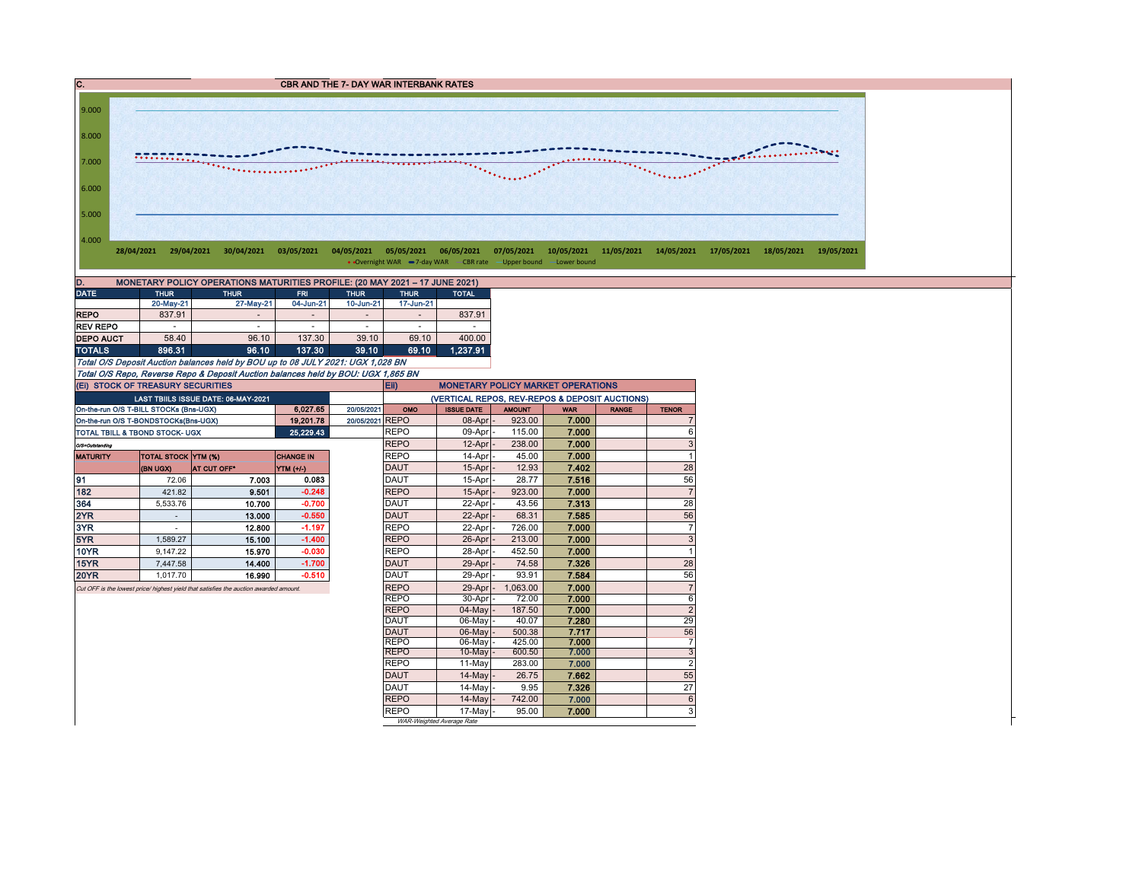



• Overnight WAR -7-day WAR - CBR rate -Upper bound -Lower bound

| MONETARY POLICY OPERATIONS MATURITIES PROFILE: (20 MAY 2021 - 17 JUNE 2021)<br>D. |           |             |                          |                          |                          |              |  |  |  |  |  |  |
|-----------------------------------------------------------------------------------|-----------|-------------|--------------------------|--------------------------|--------------------------|--------------|--|--|--|--|--|--|
| <b>DATE</b><br><b>THUR</b>                                                        |           | <b>THUR</b> | <b>FRI</b>               | <b>THUR</b>              | <b>THUR</b>              | <b>TOTAL</b> |  |  |  |  |  |  |
|                                                                                   | 20-May-21 | 27-May-21   | 04-Jun-21                | 10-Jun-21                | 17-Jun-21                |              |  |  |  |  |  |  |
| <b>REPO</b>                                                                       | 837.91    |             | $\overline{\phantom{a}}$ | $\overline{\phantom{a}}$ | $\overline{\phantom{a}}$ | 837.91       |  |  |  |  |  |  |
| <b>REV REPO</b>                                                                   | ۰         | ۰           | $\overline{\phantom{a}}$ | $\overline{\phantom{a}}$ | $\overline{\phantom{a}}$ |              |  |  |  |  |  |  |
| <b>DEPO AUCT</b>                                                                  | 58.40     | 96.10       | 137.30                   | 39.10                    | 69.10                    | 400.00       |  |  |  |  |  |  |
| <b>TOTALS</b>                                                                     | 896.31    | 96.10       | 137.30                   | 39.10                    | 69.10                    | 1.237.91     |  |  |  |  |  |  |

Total O/S Deposit Auction balances held by BOU up to 08 JULY 2021: UGX 1,028 BN Total O/S Repo, Reverse Repo & Deposit Auction balances held by BOU: UGX 1,865 BN

9.000

|                 | (EI) STOCK OF TREASURY SECURITIES              |                                                                                       |             |                 | Eii)<br><b>MONETARY POLICY MARKET OPERATIONS</b> |                                                |               |            |              |                |  |  |  |
|-----------------|------------------------------------------------|---------------------------------------------------------------------------------------|-------------|-----------------|--------------------------------------------------|------------------------------------------------|---------------|------------|--------------|----------------|--|--|--|
|                 |                                                | <b>LAST TBIJLS ISSUE DATE: 06-MAY-2021</b>                                            |             |                 |                                                  | (VERTICAL REPOS, REV-REPOS & DEPOSIT AUCTIONS) |               |            |              |                |  |  |  |
|                 | On-the-run O/S T-BILL STOCKs (Bns-UGX)         |                                                                                       | 6.027.65    | 20/05/2021      | OMO                                              | <b>ISSUE DATE</b>                              | <b>AMOUNT</b> | <b>WAR</b> | <b>RANGE</b> | <b>TENOR</b>   |  |  |  |
|                 | On-the-run O/S T-BONDSTOCKs(Bns-UGX)           |                                                                                       | 19,201.78   | 20/05/2021 REPO |                                                  | 08-Apr                                         | 923.00        | 7.000      |              | 7              |  |  |  |
|                 | TOTAL TBILL & TBOND STOCK- UGX                 |                                                                                       | 25, 229, 43 |                 | <b>REPO</b>                                      | 09-Apr                                         | 115.00        | 7.000      |              | 6              |  |  |  |
| O/S=Outstanding |                                                |                                                                                       |             |                 | <b>REPO</b>                                      | 12-Apr                                         | 238.00        | 7.000      |              | 3              |  |  |  |
| <b>MATURITY</b> | <b>TOTAL STOCK YTM (%)</b><br><b>CHANGE IN</b> |                                                                                       |             |                 | <b>REPO</b>                                      | 14-Apr                                         | 45.00         | 7.000      |              |                |  |  |  |
|                 | (BN UGX)                                       | <b>AT CUT OFF*</b>                                                                    | YTM (+/-)   |                 | <b>DAUT</b>                                      | 15-Apr                                         | 12.93         | 7.402      |              | 28             |  |  |  |
| 91              | 72.06                                          | 7.003                                                                                 | 0.083       |                 | DAUT                                             | 15-Apr                                         | 28.77         | 7.516      |              | 56             |  |  |  |
| 182             | 421.82                                         | 9.501                                                                                 | $-0.248$    |                 | <b>REPO</b>                                      | 15-Apr                                         | 923.00        | 7.000      |              | $\overline{7}$ |  |  |  |
| 364             | 5,533.76                                       | 10.700                                                                                | $-0.700$    |                 | <b>DAUT</b>                                      | 22-Apr                                         | 43.56         | 7.313      |              | 28             |  |  |  |
| 2YR             |                                                | 13.000                                                                                | $-0.550$    |                 | <b>DAUT</b>                                      | 22-Apr                                         | 68.31         | 7.585      |              | 56             |  |  |  |
| 3YR             |                                                | 12.800                                                                                | $-1.197$    |                 | <b>REPO</b>                                      | 22-Apr                                         | 726.00        | 7.000      |              | $\overline{7}$ |  |  |  |
| 5YR             | 1.589.27                                       | 15.100                                                                                | $-1.400$    |                 | <b>REPO</b>                                      | 26-Apr                                         | 213.00        | 7.000      |              | 3              |  |  |  |
| <b>10YR</b>     | 9.147.22                                       | 15.970                                                                                | $-0.030$    |                 | <b>REPO</b>                                      | 28-Apr                                         | 452.50        | 7.000      |              | $\overline{1}$ |  |  |  |
| 15YR            | 7.447.58                                       | 14.400                                                                                | $-1.700$    |                 | DAUT                                             | 29-Apr                                         | 74.58         | 7.326      |              | 28             |  |  |  |
| <b>20YR</b>     | 1.017.70                                       | 16.990                                                                                | $-0.510$    |                 | <b>DAUT</b>                                      | 29-Apr                                         | 93.91         | 7.584      |              | 56             |  |  |  |
|                 |                                                | Cut OFF is the lowest price/ highest yield that satisfies the auction awarded amount. |             |                 | <b>REPO</b>                                      | 29-Apr                                         | 1,063.00      | 7.000      |              | $\overline{7}$ |  |  |  |
|                 |                                                |                                                                                       |             |                 | <b>REPO</b>                                      | 30-Apr                                         | 72.00         | 7.000      |              | 6              |  |  |  |
|                 |                                                |                                                                                       |             |                 | <b>REPO</b>                                      | 04-May                                         | 187.50        | 7.000      |              | $\overline{2}$ |  |  |  |
|                 |                                                |                                                                                       |             |                 | <b>DAUT</b>                                      | 06-May                                         | 40.07         | 7.280      |              | 29             |  |  |  |
|                 |                                                |                                                                                       |             |                 | <b>DAUT</b>                                      | 06-May                                         | 500.38        | 7.717      |              | 56             |  |  |  |
|                 |                                                |                                                                                       |             |                 | <b>REPO</b>                                      | 06-May                                         | 425.00        | 7.000      |              | $\overline{7}$ |  |  |  |
|                 |                                                |                                                                                       |             |                 | <b>REPO</b>                                      | $10-Mav$                                       | 600.50        | 7.000      |              | 3              |  |  |  |
|                 |                                                |                                                                                       |             |                 | <b>REPO</b>                                      | 11-May                                         | 283.00        | 7.000      |              | $\overline{c}$ |  |  |  |
|                 |                                                |                                                                                       |             |                 | <b>DAUT</b>                                      | 14-May                                         | 26.75         | 7.662      |              | 55             |  |  |  |
|                 |                                                |                                                                                       |             |                 | <b>DAUT</b>                                      | 14-May                                         | 9.95          | 7.326      |              | 27             |  |  |  |
|                 |                                                |                                                                                       |             |                 | <b>REPO</b>                                      | 14-May                                         | 742.00        | 7.000      |              | 6              |  |  |  |
|                 |                                                |                                                                                       |             |                 | <b>REPO</b>                                      | 17-May                                         | 95.00         | 7.000      |              | 3              |  |  |  |
|                 |                                                |                                                                                       |             |                 |                                                  | WAR-Weighted Average Rate                      |               |            |              |                |  |  |  |

WAR-Weighted Average Rate